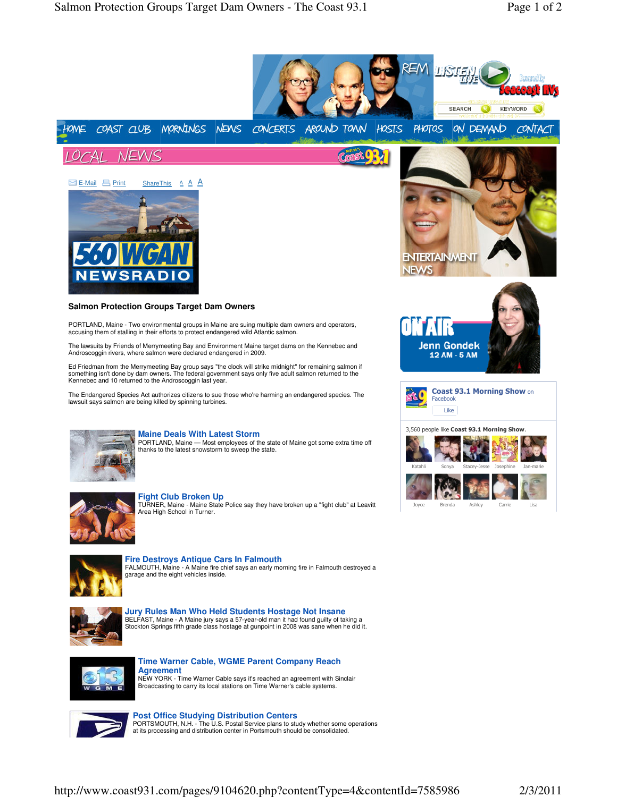



**Post Office Studying Distribution Centers**<br>PORTSMOUTH, N.H. - The U.S. Postal Service plans to study whether some operations<br>at its processing and distribution center in Portsmouth should be consolidated.